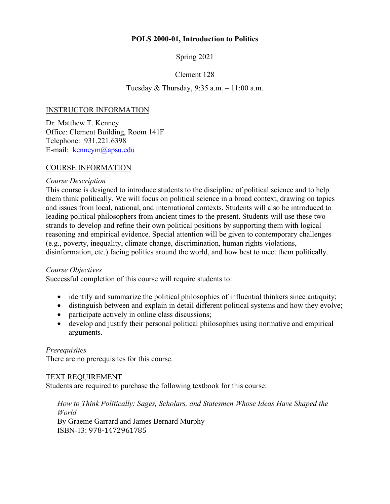## **POLS 2000-01, Introduction to Politics**

Spring 2021

# Clement 128

# Tuesday & Thursday, 9:35 a.m. – 11:00 a.m.

# INSTRUCTOR INFORMATION

Dr. Matthew T. Kenney Office: Clement Building, Room 141F Telephone: 931.221.6398 E-mail: kenneym@apsu.edu

### COURSE INFORMATION

### *Course Description*

This course is designed to introduce students to the discipline of political science and to help them think politically. We will focus on political science in a broad context, drawing on topics and issues from local, national, and international contexts. Students will also be introduced to leading political philosophers from ancient times to the present. Students will use these two strands to develop and refine their own political positions by supporting them with logical reasoning and empirical evidence. Special attention will be given to contemporary challenges (e.g., poverty, inequality, climate change, discrimination, human rights violations, disinformation, etc.) facing polities around the world, and how best to meet them politically.

### *Course Objectives*

Successful completion of this course will require students to:

- identify and summarize the political philosophies of influential thinkers since antiquity;
- distinguish between and explain in detail different political systems and how they evolve;
- participate actively in online class discussions;
- develop and justify their personal political philosophies using normative and empirical arguments.

### *Prerequisites*

There are no prerequisites for this course.

### TEXT REQUIREMENT

Students are required to purchase the following textbook for this course:

*How to Think Politically: Sages, Scholars, and Statesmen Whose Ideas Have Shaped the World* By Graeme Garrard and James Bernard Murphy ISBN-13: 978-1472961785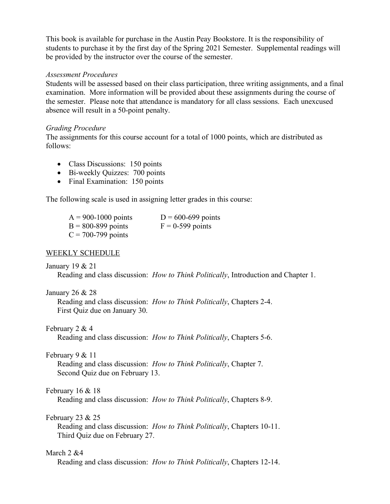This book is available for purchase in the Austin Peay Bookstore. It is the responsibility of students to purchase it by the first day of the Spring 2021 Semester. Supplemental readings will be provided by the instructor over the course of the semester.

#### *Assessment Procedures*

Students will be assessed based on their class participation, three writing assignments, and a final examination. More information will be provided about these assignments during the course of the semester. Please note that attendance is mandatory for all class sessions. Each unexcused absence will result in a 50-point penalty.

### *Grading Procedure*

The assignments for this course account for a total of 1000 points, which are distributed as follows:

- Class Discussions: 150 points
- Bi-weekly Quizzes: 700 points
- Final Examination: 150 points

The following scale is used in assigning letter grades in this course:

| $A = 900 - 1000$ points | $D = 600 - 699$ points |
|-------------------------|------------------------|
| $B = 800 - 899$ points  | $F = 0-599$ points     |
| $C = 700 - 799$ points  |                        |

### WEEKLY SCHEDULE

### January 19 & 21

Reading and class discussion: *How to Think Politically*, Introduction and Chapter 1.

### January 26 & 28

Reading and class discussion: *How to Think Politically*, Chapters 2-4. First Quiz due on January 30.

### February 2 & 4

Reading and class discussion: *How to Think Politically*, Chapters 5-6.

### February 9 & 11

Reading and class discussion: *How to Think Politically*, Chapter 7. Second Quiz due on February 13.

### February 16 & 18

Reading and class discussion: *How to Think Politically*, Chapters 8-9.

### February 23 & 25

Reading and class discussion: *How to Think Politically*, Chapters 10-11. Third Quiz due on February 27.

### March 2 &4

Reading and class discussion: *How to Think Politically*, Chapters 12-14.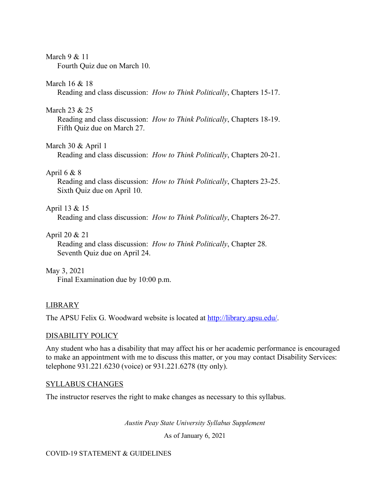## March 9 & 11

Fourth Quiz due on March 10.

### March 16 & 18

Reading and class discussion: *How to Think Politically*, Chapters 15-17.

## March 23 & 25

Reading and class discussion: *How to Think Politically*, Chapters 18-19. Fifth Quiz due on March 27.

# March 30 & April 1

Reading and class discussion: *How to Think Politically*, Chapters 20-21.

# April 6  $& 8$

Reading and class discussion: *How to Think Politically*, Chapters 23-25. Sixth Quiz due on April 10.

# April 13 & 15

Reading and class discussion: *How to Think Politically*, Chapters 26-27.

# April 20 & 21

Reading and class discussion: *How to Think Politically*, Chapter 28. Seventh Quiz due on April 24.

# May 3, 2021

Final Examination due by 10:00 p.m.

# LIBRARY

The APSU Felix G. Woodward website is located at http://library.apsu.edu/.

# DISABILITY POLICY

Any student who has a disability that may affect his or her academic performance is encouraged to make an appointment with me to discuss this matter, or you may contact Disability Services: telephone 931.221.6230 (voice) or 931.221.6278 (tty only).

# SYLLABUS CHANGES

The instructor reserves the right to make changes as necessary to this syllabus.

*Austin Peay State University Syllabus Supplement*

As of January 6, 2021

# COVID-19 STATEMENT & GUIDELINES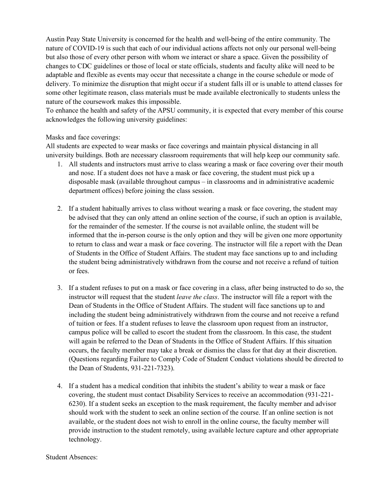Austin Peay State University is concerned for the health and well-being of the entire community. The nature of COVID-19 is such that each of our individual actions affects not only our personal well-being but also those of every other person with whom we interact or share a space. Given the possibility of changes to CDC guidelines or those of local or state officials, students and faculty alike will need to be adaptable and flexible as events may occur that necessitate a change in the course schedule or mode of delivery. To minimize the disruption that might occur if a student falls ill or is unable to attend classes for some other legitimate reason, class materials must be made available electronically to students unless the nature of the coursework makes this impossible.

To enhance the health and safety of the APSU community, it is expected that every member of this course acknowledges the following university guidelines:

#### Masks and face coverings:

All students are expected to wear masks or face coverings and maintain physical distancing in all university buildings. Both are necessary classroom requirements that will help keep our community safe.

- 1. All students and instructors must arrive to class wearing a mask or face covering over their mouth and nose. If a student does not have a mask or face covering, the student must pick up a disposable mask (available throughout campus – in classrooms and in administrative academic department offices) before joining the class session.
- 2. If a student habitually arrives to class without wearing a mask or face covering, the student may be advised that they can only attend an online section of the course, if such an option is available, for the remainder of the semester. If the course is not available online, the student will be informed that the in-person course is the only option and they will be given one more opportunity to return to class and wear a mask or face covering. The instructor will file a report with the Dean of Students in the Office of Student Affairs. The student may face sanctions up to and including the student being administratively withdrawn from the course and not receive a refund of tuition or fees.
- 3. If a student refuses to put on a mask or face covering in a class, after being instructed to do so, the instructor will request that the student *leave the class*. The instructor will file a report with the Dean of Students in the Office of Student Affairs. The student will face sanctions up to and including the student being administratively withdrawn from the course and not receive a refund of tuition or fees. If a student refuses to leave the classroom upon request from an instructor, campus police will be called to escort the student from the classroom. In this case, the student will again be referred to the Dean of Students in the Office of Student Affairs. If this situation occurs, the faculty member may take a break or dismiss the class for that day at their discretion. (Questions regarding Failure to Comply Code of Student Conduct violations should be directed to the Dean of Students, 931-221-7323).
- 4. If a student has a medical condition that inhibits the student's ability to wear a mask or face covering, the student must contact Disability Services to receive an accommodation (931-221- 6230). If a student seeks an exception to the mask requirement, the faculty member and advisor should work with the student to seek an online section of the course. If an online section is not available, or the student does not wish to enroll in the online course, the faculty member will provide instruction to the student remotely, using available lecture capture and other appropriate technology.

Student Absences: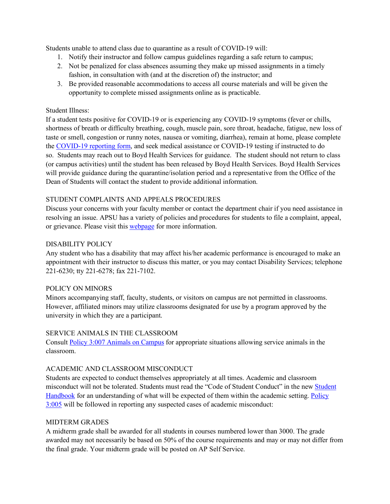Students unable to attend class due to quarantine as a result of COVID-19 will:

- 1. Notify their instructor and follow campus guidelines regarding a safe return to campus;
- 2. Not be penalized for class absences assuming they make up missed assignments in a timely fashion, in consultation with (and at the discretion of) the instructor; and
- 3. Be provided reasonable accommodations to access all course materials and will be given the opportunity to complete missed assignments online as is practicable.

### Student Illness:

If a student tests positive for COVID-19 or is experiencing any COVID-19 symptoms (fever or chills, shortness of breath or difficulty breathing, cough, muscle pain, sore throat, headache, fatigue, new loss of taste or smell, congestion or runny notes, nausea or vomiting, diarrhea), remain at home, please complete the COVID-19 reporting form, and seek medical assistance or COVID-19 testing if instructed to do so. Students may reach out to Boyd Health Services for guidance. The student should not return to class (or campus activities) until the student has been released by Boyd Health Services. Boyd Health Services will provide guidance during the quarantine/isolation period and a representative from the Office of the Dean of Students will contact the student to provide additional information.

### STUDENT COMPLAINTS AND APPEALS PROCEDURES

Discuss your concerns with your faculty member or contact the department chair if you need assistance in resolving an issue. APSU has a variety of policies and procedures for students to file a complaint, appeal, or grievance. Please visit this webpage for more information.

### DISABILITY POLICY

Any student who has a disability that may affect his/her academic performance is encouraged to make an appointment with their instructor to discuss this matter, or you may contact Disability Services; telephone 221-6230; tty 221-6278; fax 221-7102.

### POLICY ON MINORS

Minors accompanying staff, faculty, students, or visitors on campus are not permitted in classrooms. However, affiliated minors may utilize classrooms designated for use by a program approved by the university in which they are a participant.

### SERVICE ANIMALS IN THE CLASSROOM

Consult Policy 3:007 Animals on Campus for appropriate situations allowing service animals in the classroom.

### ACADEMIC AND CLASSROOM MISCONDUCT

Students are expected to conduct themselves appropriately at all times. Academic and classroom misconduct will not be tolerated. Students must read the "Code of Student Conduct" in the new Student Handbook for an understanding of what will be expected of them within the academic setting. Policy 3:005 will be followed in reporting any suspected cases of academic misconduct:

#### MIDTERM GRADES

A midterm grade shall be awarded for all students in courses numbered lower than 3000. The grade awarded may not necessarily be based on 50% of the course requirements and may or may not differ from the final grade. Your midterm grade will be posted on AP Self Service.